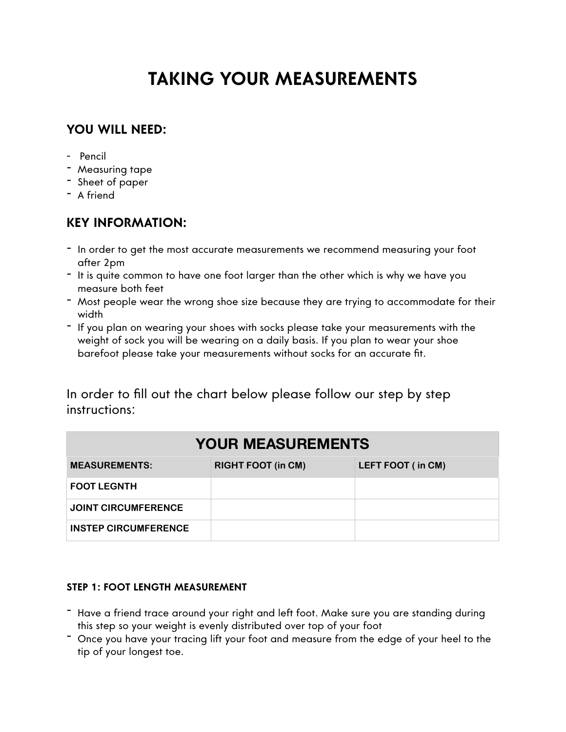# **TAKING YOUR MEASUREMENTS**

## **YOU WILL NEED:**

- Pencil
- Measuring tape
- Sheet of paper
- A friend

## **KEY INFORMATION:**

- In order to get the most accurate measurements we recommend measuring your foot after 2pm
- It is quite common to have one foot larger than the other which is why we have you measure both feet
- Most people wear the wrong shoe size because they are trying to accommodate for their width
- If you plan on wearing your shoes with socks please take your measurements with the weight of sock you will be wearing on a daily basis. If you plan to wear your shoe barefoot please take your measurements without socks for an accurate fit.

In order to fill out the chart below please follow our step by step instructions:

| <b>YOUR MEASUREMENTS</b>    |                           |                   |
|-----------------------------|---------------------------|-------------------|
| <b>MEASUREMENTS:</b>        | <b>RIGHT FOOT (in CM)</b> | LEFT FOOT (in CM) |
| <b>FOOT LEGNTH</b>          |                           |                   |
| <b>JOINT CIRCUMFERENCE</b>  |                           |                   |
| <b>INSTEP CIRCUMFERENCE</b> |                           |                   |

### **STEP 1: FOOT LENGTH MEASUREMENT**

- Have a friend trace around your right and left foot. Make sure you are standing during this step so your weight is evenly distributed over top of your foot
- Once you have your tracing lift your foot and measure from the edge of your heel to the tip of your longest toe.